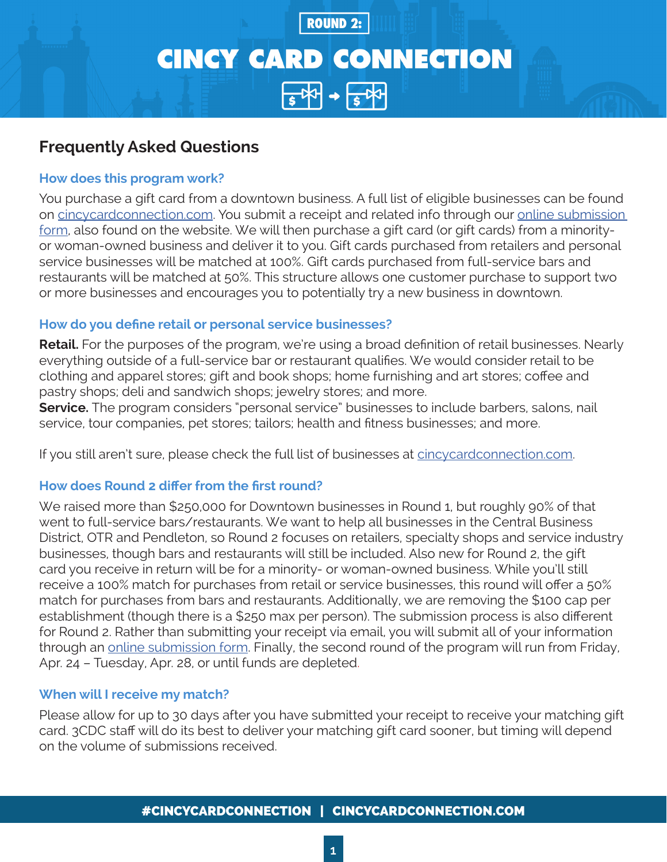# **CINCY CARD CONNECTION**  $54 + 54$

**ROUND 2:** 

# **Frequently Asked Questions**

# **How does this program work?**

You purchase a gift card from a downtown business. A full list of eligible businesses can be found on [cincycardconnection.com.](http://cincycardconnection.com) You submit a receipt and related info through our online submission [form](https://www.3cdc.org/cincy-card-connection-submission-form/), also found on the website. We will then purchase a gift card (or gift cards) from a minorityor woman-owned business and deliver it to you. Gift cards purchased from retailers and personal service businesses will be matched at 100%. Gift cards purchased from full-service bars and restaurants will be matched at 50%. This structure allows one customer purchase to support two or more businesses and encourages you to potentially try a new business in downtown.

# **How do you define retail or personal service businesses?**

**Retail.** For the purposes of the program, we're using a broad definition of retail businesses. Nearly everything outside of a full-service bar or restaurant qualifies. We would consider retail to be clothing and apparel stores; gift and book shops; home furnishing and art stores; coffee and pastry shops; deli and sandwich shops; jewelry stores; and more.

**Service.** The program considers "personal service" businesses to include barbers, salons, nail service, tour companies, pet stores; tailors; health and fitness businesses; and more.

If you still aren't sure, please check the full list of businesses at [cincycardconnection.com.](http://cincycardconnection.com)

# **How does Round 2 differ from the first round?**

We raised more than \$250,000 for Downtown businesses in Round 1, but roughly 90% of that went to full-service bars/restaurants. We want to help all businesses in the Central Business District, OTR and Pendleton, so Round 2 focuses on retailers, specialty shops and service industry businesses, though bars and restaurants will still be included. Also new for Round 2, the gift card you receive in return will be for a minority- or woman-owned business. While you'll still receive a 100% match for purchases from retail or service businesses, this round will offer a 50% match for purchases from bars and restaurants. Additionally, we are removing the \$100 cap per establishment (though there is a \$250 max per person). The submission process is also different for Round 2. Rather than submitting your receipt via email, you will submit all of your information through an [online submission form.](https://www.3cdc.org/cincy-card-connection-submission-form/) Finally, the second round of the program will run from Friday, Apr. 24 – Tuesday, Apr. 28, or until funds are depleted.

## **When will I receive my match?**

Please allow for up to 30 days after you have submitted your receipt to receive your matching gift card. 3CDC staff will do its best to deliver your matching gift card sooner, but timing will depend on the volume of submissions received.